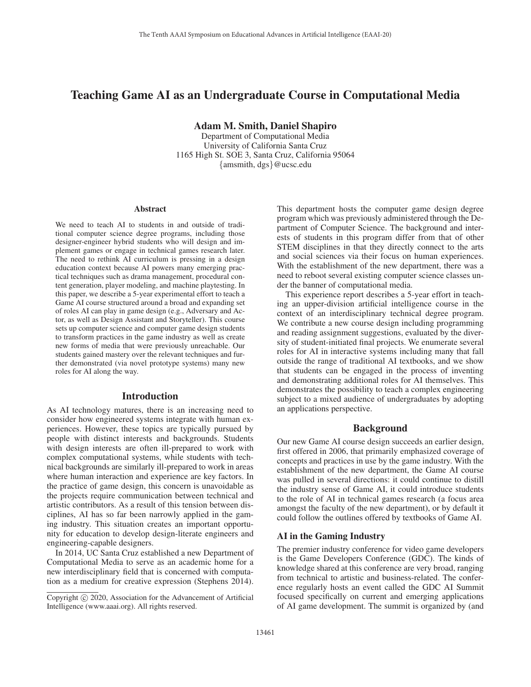# Teaching Game AI as an Undergraduate Course in Computational Media

Adam M. Smith, Daniel Shapiro

Department of Computational Media University of California Santa Cruz 1165 High St. SOE 3, Santa Cruz, California 95064 {amsmith, dgs}@ucsc.edu

#### Abstract

We need to teach AI to students in and outside of traditional computer science degree programs, including those designer-engineer hybrid students who will design and implement games or engage in technical games research later. The need to rethink AI curriculum is pressing in a design education context because AI powers many emerging practical techniques such as drama management, procedural content generation, player modeling, and machine playtesting. In this paper, we describe a 5-year experimental effort to teach a Game AI course structured around a broad and expanding set of roles AI can play in game design (e.g., Adversary and Actor, as well as Design Assistant and Storyteller). This course sets up computer science and computer game design students to transform practices in the game industry as well as create new forms of media that were previously unreachable. Our students gained mastery over the relevant techniques and further demonstrated (via novel prototype systems) many new roles for AI along the way.

### Introduction

As AI technology matures, there is an increasing need to consider how engineered systems integrate with human experiences. However, these topics are typically pursued by people with distinct interests and backgrounds. Students with design interests are often ill-prepared to work with complex computational systems, while students with technical backgrounds are similarly ill-prepared to work in areas where human interaction and experience are key factors. In the practice of game design, this concern is unavoidable as the projects require communication between technical and artistic contributors. As a result of this tension between disciplines, AI has so far been narrowly applied in the gaming industry. This situation creates an important opportunity for education to develop design-literate engineers and engineering-capable designers.

In 2014, UC Santa Cruz established a new Department of Computational Media to serve as an academic home for a new interdisciplinary field that is concerned with computation as a medium for creative expression (Stephens 2014).

This department hosts the computer game design degree program which was previously administered through the Department of Computer Science. The background and interests of students in this program differ from that of other STEM disciplines in that they directly connect to the arts and social sciences via their focus on human experiences. With the establishment of the new department, there was a need to reboot several existing computer science classes under the banner of computational media.

This experience report describes a 5-year effort in teaching an upper-division artificial intelligence course in the context of an interdisciplinary technical degree program. We contribute a new course design including programming and reading assignment suggestions, evaluated by the diversity of student-initiated final projects. We enumerate several roles for AI in interactive systems including many that fall outside the range of traditional AI textbooks, and we show that students can be engaged in the process of inventing and demonstrating additional roles for AI themselves. This demonstrates the possibility to teach a complex engineering subject to a mixed audience of undergraduates by adopting an applications perspective.

# **Background**

Our new Game AI course design succeeds an earlier design, first offered in 2006, that primarily emphasized coverage of concepts and practices in use by the game industry. With the establishment of the new department, the Game AI course was pulled in several directions: it could continue to distill the industry sense of Game AI, it could introduce students to the role of AI in technical games research (a focus area amongst the faculty of the new department), or by default it could follow the outlines offered by textbooks of Game AI.

### AI in the Gaming Industry

The premier industry conference for video game developers is the Game Developers Conference (GDC). The kinds of knowledge shared at this conference are very broad, ranging from technical to artistic and business-related. The conference regularly hosts an event called the GDC AI Summit focused specifically on current and emerging applications of AI game development. The summit is organized by (and

Copyright  $\odot$  2020, Association for the Advancement of Artificial Intelligence (www.aaai.org). All rights reserved.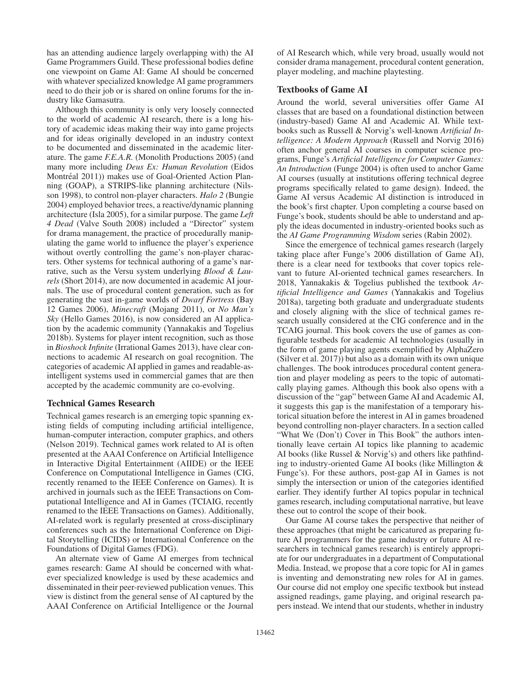has an attending audience largely overlapping with) the AI Game Programmers Guild. These professional bodies define one viewpoint on Game AI: Game AI should be concerned with whatever specialized knowledge AI game programmers need to do their job or is shared on online forums for the industry like Gamasutra.

Although this community is only very loosely connected to the world of academic AI research, there is a long history of academic ideas making their way into game projects and for ideas originally developed in an industry context to be documented and disseminated in the academic literature. The game *F.E.A.R.* (Monolith Productions 2005) (and many more including *Deus Ex: Human Revolution* (Eidos Montréal 2011)) makes use of Goal-Oriented Action Planning (GOAP), a STRIPS-like planning architecture (Nilsson 1998), to control non-player characters. *Halo 2* (Bungie 2004) employed behavior trees, a reactive/dynamic planning architecture (Isla 2005), for a similar purpose. The game *Left 4 Dead* (Valve South 2008) included a "Director" system for drama management, the practice of procedurally manipulating the game world to influence the player's experience without overtly controlling the game's non-player characters. Other systems for technical authoring of a game's narrative, such as the Versu system underlying *Blood & Laurels* (Short 2014), are now documented in academic AI journals. The use of procedural content generation, such as for generating the vast in-game worlds of *Dwarf Fortress* (Bay 12 Games 2006), *Minecraft* (Mojang 2011), or *No Man's Sky* (Hello Games 2016), is now considered an AI application by the academic community (Yannakakis and Togelius 2018b). Systems for player intent recognition, such as those in *Bioshock Infinite* (Irrational Games 2013), have clear connections to academic AI research on goal recognition. The categories of academic AI applied in games and readable-asintelligent systems used in commercial games that are then accepted by the academic community are co-evolving.

#### Technical Games Research

Technical games research is an emerging topic spanning existing fields of computing including artificial intelligence, human-computer interaction, computer graphics, and others (Nelson 2019). Technical games work related to AI is often presented at the AAAI Conference on Artificial Intelligence in Interactive Digital Entertainment (AIIDE) or the IEEE Conference on Computational Intelligence in Games (CIG, recently renamed to the IEEE Conference on Games). It is archived in journals such as the IEEE Transactions on Computational Intelligence and AI in Games (TCIAIG, recently renamed to the IEEE Transactions on Games). Additionally, AI-related work is regularly presented at cross-disciplinary conferences such as the International Conference on Digital Storytelling (ICIDS) or International Conference on the Foundations of Digital Games (FDG).

An alternate view of Game AI emerges from technical games research: Game AI should be concerned with whatever specialized knowledge is used by these academics and disseminated in their peer-reviewed publication venues. This view is distinct from the general sense of AI captured by the AAAI Conference on Artificial Intelligence or the Journal

of AI Research which, while very broad, usually would not consider drama management, procedural content generation, player modeling, and machine playtesting.

## Textbooks of Game AI

Around the world, several universities offer Game AI classes that are based on a foundational distinction between (industry-based) Game AI and Academic AI. While textbooks such as Russell & Norvig's well-known *Artificial Intelligence: A Modern Approach* (Russell and Norvig 2016) often anchor general AI courses in computer science programs, Funge's *Artificial Intelligence for Computer Games: An Introduction* (Funge 2004) is often used to anchor Game AI courses (usually at institutions offering technical degree programs specifically related to game design). Indeed, the Game AI versus Academic AI distinction is introduced in the book's first chapter. Upon completing a course based on Funge's book, students should be able to understand and apply the ideas documented in industry-oriented books such as the *AI Game Programming Wisdom* series (Rabin 2002).

Since the emergence of technical games research (largely taking place after Funge's 2006 distillation of Game AI), there is a clear need for textbooks that cover topics relevant to future AI-oriented technical games researchers. In 2018, Yannakakis & Togelius published the textbook *Artificial Intelligence and Games* (Yannakakis and Togelius 2018a), targeting both graduate and undergraduate students and closely aligning with the slice of technical games research usually considered at the CIG conference and in the TCAIG journal. This book covers the use of games as configurable testbeds for academic AI technologies (usually in the form of game playing agents exemplified by AlphaZero (Silver et al. 2017)) but also as a domain with its own unique challenges. The book introduces procedural content generation and player modeling as peers to the topic of automatically playing games. Although this book also opens with a discussion of the "gap" between Game AI and Academic AI, it suggests this gap is the manifestation of a temporary historical situation before the interest in AI in games broadened beyond controlling non-player characters. In a section called "What We (Don't) Cover in This Book" the authors intentionally leave certain AI topics like planning to academic AI books (like Russel & Norvig's) and others like pathfinding to industry-oriented Game AI books (like Millington & Funge's). For these authors, post-gap AI in Games is not simply the intersection or union of the categories identified earlier. They identify further AI topics popular in technical games research, including computational narrative, but leave these out to control the scope of their book.

Our Game AI course takes the perspective that neither of these approaches (that might be caricatured as preparing future AI programmers for the game industry or future AI researchers in technical games research) is entirely appropriate for our undergraduates in a department of Computational Media. Instead, we propose that a core topic for AI in games is inventing and demonstrating new roles for AI in games. Our course did not employ one specific textbook but instead assigned readings, game playing, and original research papers instead. We intend that our students, whether in industry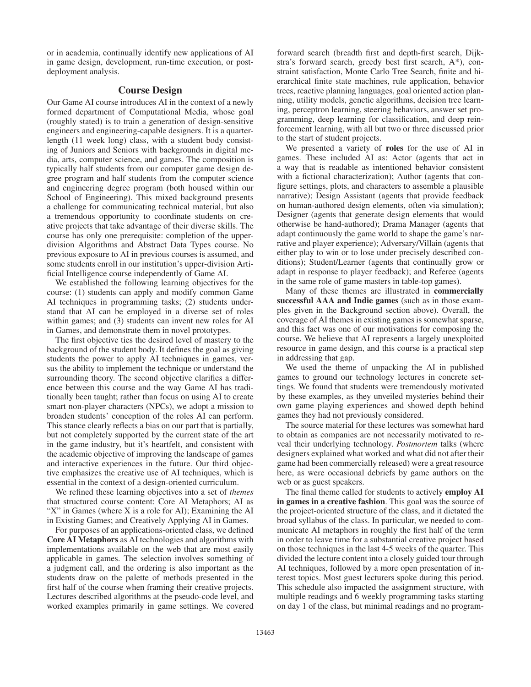or in academia, continually identify new applications of AI in game design, development, run-time execution, or postdeployment analysis.

# Course Design

Our Game AI course introduces AI in the context of a newly formed department of Computational Media, whose goal (roughly stated) is to train a generation of design-sensitive engineers and engineering-capable designers. It is a quarterlength (11 week long) class, with a student body consisting of Juniors and Seniors with backgrounds in digital media, arts, computer science, and games. The composition is typically half students from our computer game design degree program and half students from the computer science and engineering degree program (both housed within our School of Engineering). This mixed background presents a challenge for communicating technical material, but also a tremendous opportunity to coordinate students on creative projects that take advantage of their diverse skills. The course has only one prerequisite: completion of the upperdivision Algorithms and Abstract Data Types course. No previous exposure to AI in previous courses is assumed, and some students enroll in our institution's upper-division Artificial Intelligence course independently of Game AI.

We established the following learning objectives for the course: (1) students can apply and modify common Game AI techniques in programming tasks; (2) students understand that AI can be employed in a diverse set of roles within games; and (3) students can invent new roles for AI in Games, and demonstrate them in novel prototypes.

The first objective ties the desired level of mastery to the background of the student body. It defines the goal as giving students the power to apply AI techniques in games, versus the ability to implement the technique or understand the surrounding theory. The second objective clarifies a difference between this course and the way Game AI has traditionally been taught; rather than focus on using AI to create smart non-player characters (NPCs), we adopt a mission to broaden students' conception of the roles AI can perform. This stance clearly reflects a bias on our part that is partially, but not completely supported by the current state of the art in the game industry, but it's heartfelt, and consistent with the academic objective of improving the landscape of games and interactive experiences in the future. Our third objective emphasizes the creative use of AI techniques, which is essential in the context of a design-oriented curriculum.

We refined these learning objectives into a set of *themes* that structured course content: Core AI Metaphors; AI as "X" in Games (where X is a role for AI); Examining the AI in Existing Games; and Creatively Applying AI in Games.

For purposes of an applications-oriented class, we defined Core AI Metaphors as AI technologies and algorithms with implementations available on the web that are most easily applicable in games. The selection involves something of a judgment call, and the ordering is also important as the students draw on the palette of methods presented in the first half of the course when framing their creative projects. Lectures described algorithms at the pseudo-code level, and worked examples primarily in game settings. We covered forward search (breadth first and depth-first search, Dijkstra's forward search, greedy best first search, A\*), constraint satisfaction, Monte Carlo Tree Search, finite and hierarchical finite state machines, rule application, behavior trees, reactive planning languages, goal oriented action planning, utility models, genetic algorithms, decision tree learning, perceptron learning, steering behaviors, answer set programming, deep learning for classification, and deep reinforcement learning, with all but two or three discussed prior to the start of student projects.

We presented a variety of roles for the use of AI in games. These included AI as: Actor (agents that act in a way that is readable as intentioned behavior consistent with a fictional characterization); Author (agents that configure settings, plots, and characters to assemble a plausible narrative); Design Assistant (agents that provide feedback on human-authored design elements, often via simulation); Designer (agents that generate design elements that would otherwise be hand-authored); Drama Manager (agents that adapt continuously the game world to shape the game's narrative and player experience); Adversary/Villain (agents that either play to win or to lose under precisely described conditions); Student/Learner (agents that continually grow or adapt in response to player feedback); and Referee (agents in the same role of game masters in table-top games).

Many of these themes are illustrated in commercially successful AAA and Indie games (such as in those examples given in the Background section above). Overall, the coverage of AI themes in existing games is somewhat sparse, and this fact was one of our motivations for composing the course. We believe that AI represents a largely unexploited resource in game design, and this course is a practical step in addressing that gap.

We used the theme of unpacking the AI in published games to ground our technology lectures in concrete settings. We found that students were tremendously motivated by these examples, as they unveiled mysteries behind their own game playing experiences and showed depth behind games they had not previously considered.

The source material for these lectures was somewhat hard to obtain as companies are not necessarily motivated to reveal their underlying technology. *Postmortem* talks (where designers explained what worked and what did not after their game had been commercially released) were a great resource here, as were occasional debriefs by game authors on the web or as guest speakers.

The final theme called for students to actively employ AI in games in a creative fashion. This goal was the source of the project-oriented structure of the class, and it dictated the broad syllabus of the class. In particular, we needed to communicate AI metaphors in roughly the first half of the term in order to leave time for a substantial creative project based on those techniques in the last 4-5 weeks of the quarter. This divided the lecture content into a closely guided tour through AI techniques, followed by a more open presentation of interest topics. Most guest lecturers spoke during this period. This schedule also impacted the assignment structure, with multiple readings and 6 weekly programming tasks starting on day 1 of the class, but minimal readings and no program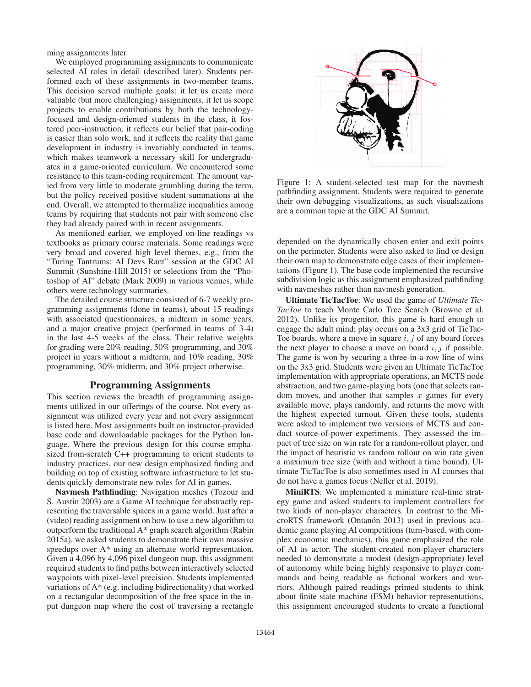ming assignments later.

We employed programming assignments to communicate selected AI roles in detail (described later). Students performed each of these assignments in two-member teams. This decision served multiple goals; it let us create more valuable (but more challenging) assignments, it let us scope projects to enable contributions by both the technologyfocused and design-oriented students in the class, it fostered peer-instruction, it reflects our belief that pair-coding is easier than solo work, and it reflects the reality that game development in industry is invariably conducted in teams, which makes teamwork a necessary skill for undergraduates in a game-oriented curriculum. We encountered some resistance to this team-coding requirement. The amount varied from very little to moderate grumbling during the term, but the policy received positive student summations at the end. Overall, we attempted to thermalize inequalities among teams by requiring that students not pair with someone else they had already paired with in recent assignments.

As mentioned earlier, we employed on-line readings vs textbooks as primary course materials. Some readings were very broad and covered high level themes, e.g., from the "Turing Tantrums: AI Devs Rant" session at the GDC AI Summit (Sunshine-Hill 2015) or selections from the "Photoshop of AI" debate (Mark 2009) in various venues, while others were technology summaries.

The detailed course structure consisted of 6-7 weekly programming assignments (done in teams), about 15 readings with associated questionnaires, a midterm in some years, and a major creative project (performed in teams of 3-4) in the last 4-5 weeks of the class. Their relative weights for grading were 20% reading, 50% programming, and 30% project in years without a midterm, and 10% reading, 30% programming, 30% midterm, and 30% project otherwise.

## Programming Assignments

This section reviews the breadth of programming assignments utilized in our offerings of the course. Not every assignment was utilized every year and not every assignment is listed here. Most assignments built on instructor-provided base code and downloadable packages for the Python language. Where the previous design for this course emphasized from-scratch C++ programming to orient students to industry practices, our new design emphasized finding and building on top of existing software infrastructure to let students quickly demonstrate new roles for AI in games.

Navmesh Pathfinding: Navigation meshes (Tozour and S. Austin 2003) are a Game AI technique for abstractly representing the traversable spaces in a game world. Just after a (video) reading assignment on how to use a new algorithm to outperform the traditional A\* graph search algorithm (Rabin 2015a), we asked students to demonstrate their own massive speedups over A\* using an alternate world representation. Given a 4,096 by 4,096 pixel dungeon map, this assignment required students to find paths between interactively selected waypoints with pixel-level precision. Students implemented variations of A\* (e.g. including bidirectionality) that worked on a rectangular decomposition of the free space in the input dungeon map where the cost of traversing a rectangle



Figure 1: A student-selected test map for the navmesh pathfinding assignment. Students were required to generate their own debugging visualizations, as such visualizations are a common topic at the GDC AI Summit.

depended on the dynamically chosen enter and exit points on the perimeter. Students were also asked to find or design their own map to demonstrate edge cases of their implementations (Figure 1). The base code implemented the recursive subdivision logic as this assignment emphasized pathfinding with navmeshes rather than navmesh generation.

Ultimate TicTacToe: We used the game of *Ultimate Tic-TacToe* to teach Monte Carlo Tree Search (Browne et al. 2012). Unlike its progenitor, this game is hard enough to engage the adult mind; play occurs on a 3x3 grid of TicTac-Toe boards, where a move in square  $i, j$  of any board forces the next player to choose a move on board  $i, j$  if possible. The game is won by securing a three-in-a-row line of wins on the 3x3 grid. Students were given an Ultimate TicTacToe implementation with appropriate operations, an MCTS node abstraction, and two game-playing bots (one that selects random moves, and another that samples  $x$  games for every available move, plays randomly, and returns the move with the highest expected turnout. Given these tools, students were asked to implement two versions of MCTS and conduct source-of-power experiments. They assessed the impact of tree size on win rate for a random-rollout player, and the impact of heuristic vs random rollout on win rate given a maximum tree size (with and without a time bound). Ultimate TicTacToe is also sometimes used in AI courses that do not have a games focus (Neller et al. 2019).

MiniRTS: We implemented a miniature real-time strategy game and asked students to implement controllers for two kinds of non-player characters. In contrast to the MicroRTS framework (Ontanón 2013) used in previous academic game playing AI competitions (turn-based, with complex economic mechanics), this game emphasized the role of AI as actor. The student-created non-player characters needed to demonstrate a modest (design-appropriate) level of autonomy while being highly responsive to player commands and being readable as fictional workers and warriors. Although paired readings primed students to think about finite state machine (FSM) behavior representations, this assignment encouraged students to create a functional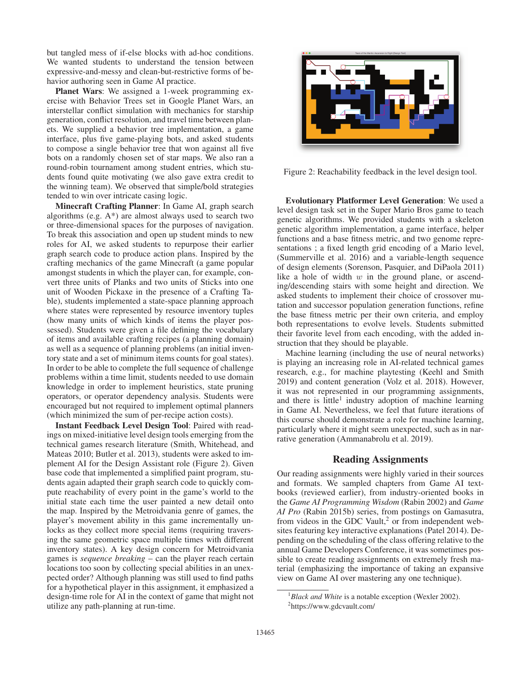but tangled mess of if-else blocks with ad-hoc conditions. We wanted students to understand the tension between expressive-and-messy and clean-but-restrictive forms of behavior authoring seen in Game AI practice.

Planet Wars: We assigned a 1-week programming exercise with Behavior Trees set in Google Planet Wars, an interstellar conflict simulation with mechanics for starship generation, conflict resolution, and travel time between planets. We supplied a behavior tree implementation, a game interface, plus five game-playing bots, and asked students to compose a single behavior tree that won against all five bots on a randomly chosen set of star maps. We also ran a round-robin tournament among student entries, which students found quite motivating (we also gave extra credit to the winning team). We observed that simple/bold strategies tended to win over intricate casing logic.

Minecraft Crafting Planner: In Game AI, graph search algorithms (e.g. A\*) are almost always used to search two or three-dimensional spaces for the purposes of navigation. To break this association and open up student minds to new roles for AI, we asked students to repurpose their earlier graph search code to produce action plans. Inspired by the crafting mechanics of the game Minecraft (a game popular amongst students in which the player can, for example, convert three units of Planks and two units of Sticks into one unit of Wooden Pickaxe in the presence of a Crafting Table), students implemented a state-space planning approach where states were represented by resource inventory tuples (how many units of which kinds of items the player possessed). Students were given a file defining the vocabulary of items and available crafting recipes (a planning domain) as well as a sequence of planning problems (an initial inventory state and a set of minimum items counts for goal states). In order to be able to complete the full sequence of challenge problems within a time limit, students needed to use domain knowledge in order to implement heuristics, state pruning operators, or operator dependency analysis. Students were encouraged but not required to implement optimal planners (which minimized the sum of per-recipe action costs).

Instant Feedback Level Design Tool: Paired with readings on mixed-initiative level design tools emerging from the technical games research literature (Smith, Whitehead, and Mateas 2010; Butler et al. 2013), students were asked to implement AI for the Design Assistant role (Figure 2). Given base code that implemented a simplified paint program, students again adapted their graph search code to quickly compute reachability of every point in the game's world to the initial state each time the user painted a new detail onto the map. Inspired by the Metroidvania genre of games, the player's movement ability in this game incrementally unlocks as they collect more special items (requiring traversing the same geometric space multiple times with different inventory states). A key design concern for Metroidvania games is *sequence breaking* – can the player reach certain locations too soon by collecting special abilities in an unexpected order? Although planning was still used to find paths for a hypothetical player in this assignment, it emphasized a design-time role for AI in the context of game that might not utilize any path-planning at run-time.



Figure 2: Reachability feedback in the level design tool.

Evolutionary Platformer Level Generation: We used a level design task set in the Super Mario Bros game to teach genetic algorithms. We provided students with a skeleton genetic algorithm implementation, a game interface, helper functions and a base fitness metric, and two genome representations ; a fixed length grid encoding of a Mario level, (Summerville et al. 2016) and a variable-length sequence of design elements (Sorenson, Pasquier, and DiPaola 2011) like a hole of width  $w$  in the ground plane, or ascending/descending stairs with some height and direction. We asked students to implement their choice of crossover mutation and successor population generation functions, refine the base fitness metric per their own criteria, and employ both representations to evolve levels. Students submitted their favorite level from each encoding, with the added instruction that they should be playable.

Machine learning (including the use of neural networks) is playing an increasing role in AI-related technical games research, e.g., for machine playtesting (Keehl and Smith 2019) and content generation (Volz et al. 2018). However, it was not represented in our programming assignments, and there is little<sup>1</sup> industry adoption of machine learning in Game AI. Nevertheless, we feel that future iterations of this course should demonstrate a role for machine learning, particularly where it might seem unexpected, such as in narrative generation (Ammanabrolu et al. 2019).

# Reading Assignments

Our reading assignments were highly varied in their sources and formats. We sampled chapters from Game AI textbooks (reviewed earlier), from industry-oriented books in the *Game AI Programming Wisdom* (Rabin 2002) and *Game AI Pro* (Rabin 2015b) series, from postings on Gamasutra, from videos in the GDC Vault, $2$  or from independent websites featuring key interactive explanations (Patel 2014). Depending on the scheduling of the class offering relative to the annual Game Developers Conference, it was sometimes possible to create reading assignments on extremely fresh material (emphasizing the importance of taking an expansive view on Game AI over mastering any one technique).

<sup>&</sup>lt;sup>1</sup> Black and White is a notable exception (Wexler 2002).

<sup>2</sup> https://www.gdcvault.com/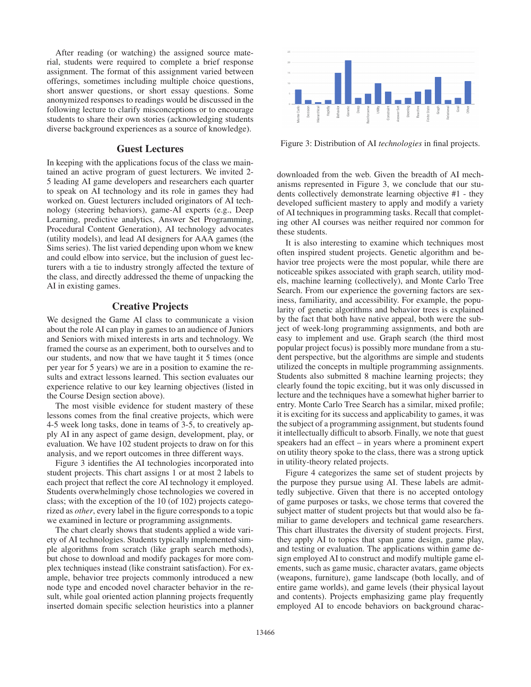After reading (or watching) the assigned source material, students were required to complete a brief response assignment. The format of this assignment varied between offerings, sometimes including multiple choice questions, short answer questions, or short essay questions. Some anonymized responses to readings would be discussed in the following lecture to clarify misconceptions or to encourage students to share their own stories (acknowledging students diverse background experiences as a source of knowledge).

### Guest Lectures

In keeping with the applications focus of the class we maintained an active program of guest lecturers. We invited 2- 5 leading AI game developers and researchers each quarter to speak on AI technology and its role in games they had worked on. Guest lecturers included originators of AI technology (steering behaviors), game-AI experts (e.g., Deep Learning, predictive analytics, Answer Set Programming, Procedural Content Generation), AI technology advocates (utility models), and lead AI designers for AAA games (the Sims series). The list varied depending upon whom we knew and could elbow into service, but the inclusion of guest lecturers with a tie to industry strongly affected the texture of the class, and directly addressed the theme of unpacking the AI in existing games.

## Creative Projects

We designed the Game AI class to communicate a vision about the role AI can play in games to an audience of Juniors and Seniors with mixed interests in arts and technology. We framed the course as an experiment, both to ourselves and to our students, and now that we have taught it 5 times (once per year for 5 years) we are in a position to examine the results and extract lessons learned. This section evaluates our experience relative to our key learning objectives (listed in the Course Design section above).

The most visible evidence for student mastery of these lessons comes from the final creative projects, which were 4-5 week long tasks, done in teams of 3-5, to creatively apply AI in any aspect of game design, development, play, or evaluation. We have 102 student projects to draw on for this analysis, and we report outcomes in three different ways.

Figure 3 identifies the AI technologies incorporated into student projects. This chart assigns 1 or at most 2 labels to each project that reflect the core AI technology it employed. Students overwhelmingly chose technologies we covered in class; with the exception of the 10 (of 102) projects categorized as *other*, every label in the figure corresponds to a topic we examined in lecture or programming assignments.

The chart clearly shows that students applied a wide variety of AI technologies. Students typically implemented simple algorithms from scratch (like graph search methods), but chose to download and modify packages for more complex techniques instead (like constraint satisfaction). For example, behavior tree projects commonly introduced a new node type and encoded novel character behavior in the result, while goal oriented action planning projects frequently inserted domain specific selection heuristics into a planner



Figure 3: Distribution of AI *technologies* in final projects.

downloaded from the web. Given the breadth of AI mechanisms represented in Figure 3, we conclude that our students collectively demonstrate learning objective #1 - they developed sufficient mastery to apply and modify a variety of AI techniques in programming tasks. Recall that completing other AI courses was neither required nor common for these students.

It is also interesting to examine which techniques most often inspired student projects. Genetic algorithm and behavior tree projects were the most popular, while there are noticeable spikes associated with graph search, utility models, machine learning (collectively), and Monte Carlo Tree Search. From our experience the governing factors are sexiness, familiarity, and accessibility. For example, the popularity of genetic algorithms and behavior trees is explained by the fact that both have native appeal, both were the subject of week-long programming assignments, and both are easy to implement and use. Graph search (the third most popular project focus) is possibly more mundane from a student perspective, but the algorithms are simple and students utilized the concepts in multiple programming assignments. Students also submitted 8 machine learning projects; they clearly found the topic exciting, but it was only discussed in lecture and the techniques have a somewhat higher barrier to entry. Monte Carlo Tree Search has a similar, mixed profile; it is exciting for its success and applicability to games, it was the subject of a programming assignment, but students found it intellectually difficult to absorb. Finally, we note that guest speakers had an effect – in years where a prominent expert on utility theory spoke to the class, there was a strong uptick in utility-theory related projects.

Figure 4 categorizes the same set of student projects by the purpose they pursue using AI. These labels are admittedly subjective. Given that there is no accepted ontology of game purposes or tasks, we chose terms that covered the subject matter of student projects but that would also be familiar to game developers and technical game researchers. This chart illustrates the diversity of student projects. First, they apply AI to topics that span game design, game play, and testing or evaluation. The applications within game design employed AI to construct and modify multiple game elements, such as game music, character avatars, game objects (weapons, furniture), game landscape (both locally, and of entire game worlds), and game levels (their physical layout and contents). Projects emphasizing game play frequently employed AI to encode behaviors on background charac-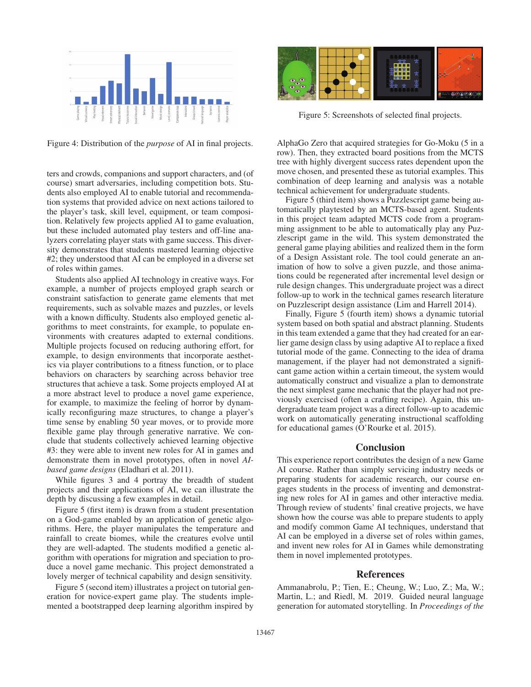

Figure 4: Distribution of the *purpose* of AI in final projects.

ters and crowds, companions and support characters, and (of course) smart adversaries, including competition bots. Students also employed AI to enable tutorial and recommendation systems that provided advice on next actions tailored to the player's task, skill level, equipment, or team composition. Relatively few projects applied AI to game evaluation, but these included automated play testers and off-line analyzers correlating player stats with game success. This diversity demonstrates that students mastered learning objective #2; they understood that AI can be employed in a diverse set of roles within games.

Students also applied AI technology in creative ways. For example, a number of projects employed graph search or constraint satisfaction to generate game elements that met requirements, such as solvable mazes and puzzles, or levels with a known difficulty. Students also employed genetic algorithms to meet constraints, for example, to populate environments with creatures adapted to external conditions. Multiple projects focused on reducing authoring effort, for example, to design environments that incorporate aesthetics via player contributions to a fitness function, or to place behaviors on characters by searching across behavior tree structures that achieve a task. Some projects employed AI at a more abstract level to produce a novel game experience, for example, to maximize the feeling of horror by dynamically reconfiguring maze structures, to change a player's time sense by enabling 50 year moves, or to provide more flexible game play through generative narrative. We conclude that students collectively achieved learning objective #3: they were able to invent new roles for AI in games and demonstrate them in novel prototypes, often in novel *AIbased game designs* (Eladhari et al. 2011).

While figures 3 and 4 portray the breadth of student projects and their applications of AI, we can illustrate the depth by discussing a few examples in detail.

Figure 5 (first item) is drawn from a student presentation on a God-game enabled by an application of genetic algorithms. Here, the player manipulates the temperature and rainfall to create biomes, while the creatures evolve until they are well-adapted. The students modified a genetic algorithm with operations for migration and speciation to produce a novel game mechanic. This project demonstrated a lovely merger of technical capability and design sensitivity.

Figure 5 (second item) illustrates a project on tutorial generation for novice-expert game play. The students implemented a bootstrapped deep learning algorithm inspired by



Figure 5: Screenshots of selected final projects.

AlphaGo Zero that acquired strategies for Go-Moku (5 in a row). Then, they extracted board positions from the MCTS tree with highly divergent success rates dependent upon the move chosen, and presented these as tutorial examples. This combination of deep learning and analysis was a notable technical achievement for undergraduate students.

Figure 5 (third item) shows a Puzzlescript game being automatically playtested by an MCTS-based agent. Students in this project team adapted MCTS code from a programming assignment to be able to automatically play any Puzzlescript game in the wild. This system demonstrated the general game playing abilities and realized them in the form of a Design Assistant role. The tool could generate an animation of how to solve a given puzzle, and those animations could be regenerated after incremental level design or rule design changes. This undergraduate project was a direct follow-up to work in the technical games research literature on Puzzlescript design assistance (Lim and Harrell 2014).

Finally, Figure 5 (fourth item) shows a dynamic tutorial system based on both spatial and abstract planning. Students in this team extended a game that they had created for an earlier game design class by using adaptive AI to replace a fixed tutorial mode of the game. Connecting to the idea of drama management, if the player had not demonstrated a significant game action within a certain timeout, the system would automatically construct and visualize a plan to demonstrate the next simplest game mechanic that the player had not previously exercised (often a crafting recipe). Again, this undergraduate team project was a direct follow-up to academic work on automatically generating instructional scaffolding for educational games (O'Rourke et al. 2015).

### **Conclusion**

This experience report contributes the design of a new Game AI course. Rather than simply servicing industry needs or preparing students for academic research, our course engages students in the process of inventing and demonstrating new roles for AI in games and other interactive media. Through review of students' final creative projects, we have shown how the course was able to prepare students to apply and modify common Game AI techniques, understand that AI can be employed in a diverse set of roles within games, and invent new roles for AI in Games while demonstrating them in novel implemented prototypes.

### References

Ammanabrolu, P.; Tien, E.; Cheung, W.; Luo, Z.; Ma, W.; Martin, L.; and Riedl, M. 2019. Guided neural language generation for automated storytelling. In *Proceedings of the*